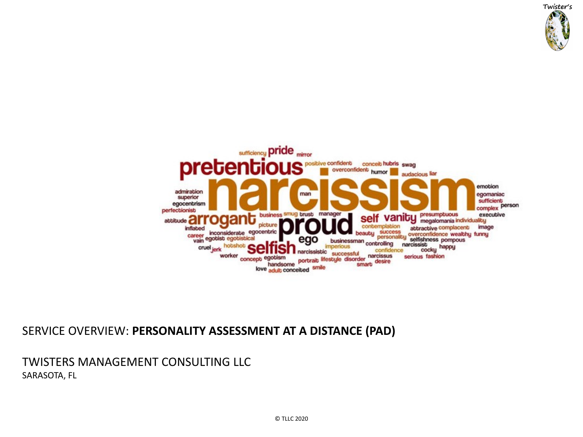

#### SERVICE OVERVIEW: **PERSONALITY ASSESSMENT AT A DISTANCE (PAD)**

#### TWISTERS MANAGEMENT CONSULTING LLC SARASOTA, FL